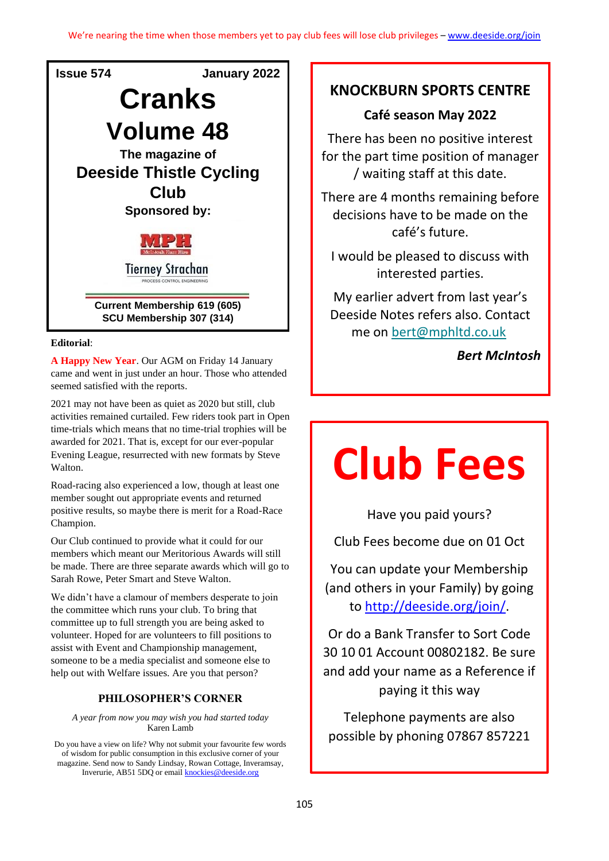

#### **Editorial**:

**A Happy New Year**. Our AGM on Friday 14 January came and went in just under an hour. Those who attended seemed satisfied with the reports.

2021 may not have been as quiet as 2020 but still, club activities remained curtailed. Few riders took part in Open time-trials which means that no time-trial trophies will be awarded for 2021. That is, except for our ever-popular Evening League, resurrected with new formats by Steve Walton.

Road-racing also experienced a low, though at least one member sought out appropriate events and returned positive results, so maybe there is merit for a Road-Race Champion.

Our Club continued to provide what it could for our members which meant our Meritorious Awards will still be made. There are three separate awards which will go to Sarah Rowe, Peter Smart and Steve Walton.

We didn't have a clamour of members desperate to join the committee which runs your club. To bring that committee up to full strength you are being asked to volunteer. Hoped for are volunteers to fill positions to assist with Event and Championship management, someone to be a media specialist and someone else to help out with Welfare issues. Are you that person?

## **PHILOSOPHER'S CORNER**

*A year from now you may wish you had started today* Karen Lamb

Do you have a view on life? Why not submit your favourite few words of wisdom for public consumption in this exclusive corner of your magazine. Send now to Sandy Lindsay, Rowan Cottage, Inveramsay, Inverurie, AB51 5DQ or emai[l knockies@deeside.org](mailto:knockies@deeside.org)

# **KNOCKBURN SPORTS CENTRE**

# **Café season May 2022**

There has been no positive interest for the part time position of manager / waiting staff at this date.

There are 4 months remaining before decisions have to be made on the café's future.

I would be pleased to discuss with interested parties.

My earlier advert from last year's Deeside Notes refers also. Contact me on [bert@mphltd.co.uk](mailto:bert@mphltd.co.uk)

*Bert McIntosh*

# **Club Fees**

Have you paid yours?

Club Fees become due on 01 Oct

You can update your Membership (and others in your Family) by going to [http://deeside.org/join/.](http://deeside.org/join/)

Or do a Bank Transfer to Sort Code 30 10 01 Account 00802182. Be sure and add your name as a Reference if paying it this way

Telephone payments are also possible by phoning 07867 857221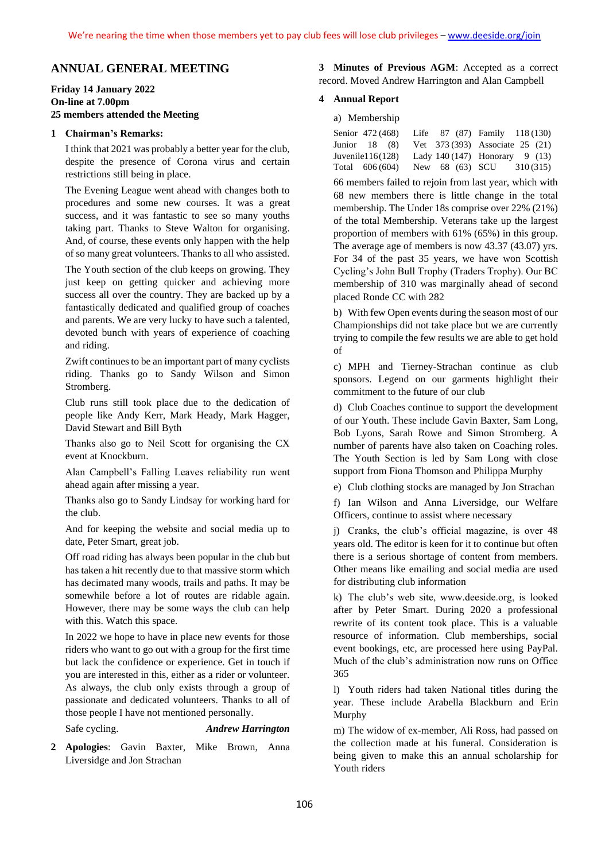#### **ANNUAL GENERAL MEETING**

#### **Friday 14 January 2022 On-line at 7.00pm 25 members attended the Meeting**

#### **1 Chairman's Remarks:**

I think that 2021 was probably a better year for the club, despite the presence of Corona virus and certain restrictions still being in place.

The Evening League went ahead with changes both to procedures and some new courses. It was a great success, and it was fantastic to see so many youths taking part. Thanks to Steve Walton for organising. And, of course, these events only happen with the help of so many great volunteers. Thanks to all who assisted.

The Youth section of the club keeps on growing. They just keep on getting quicker and achieving more success all over the country. They are backed up by a fantastically dedicated and qualified group of coaches and parents. We are very lucky to have such a talented, devoted bunch with years of experience of coaching and riding.

Zwift continues to be an important part of many cyclists riding. Thanks go to Sandy Wilson and Simon Stromberg.

Club runs still took place due to the dedication of people like Andy Kerr, Mark Heady, Mark Hagger, David Stewart and Bill Byth

Thanks also go to Neil Scott for organising the CX event at Knockburn.

Alan Campbell's Falling Leaves reliability run went ahead again after missing a year.

Thanks also go to Sandy Lindsay for working hard for the club.

And for keeping the website and social media up to date, Peter Smart, great job.

Off road riding has always been popular in the club but has taken a hit recently due to that massive storm which has decimated many woods, trails and paths. It may be somewhile before a lot of routes are ridable again. However, there may be some ways the club can help with this. Watch this space.

In 2022 we hope to have in place new events for those riders who want to go out with a group for the first time but lack the confidence or experience. Get in touch if you are interested in this, either as a rider or volunteer. As always, the club only exists through a group of passionate and dedicated volunteers. Thanks to all of those people I have not mentioned personally.

#### Safe cycling. *Andrew Harrington*

**2 Apologies**: Gavin Baxter, Mike Brown, Anna Liversidge and Jon Strachan

**3 Minutes of Previous AGM**: Accepted as a correct record. Moved Andrew Harrington and Alan Campbell

#### **4 Annual Report**

#### a) Membership

| Senior 472 (468) Life 87 (87) Family 118 (130) |                 |                                 |
|------------------------------------------------|-----------------|---------------------------------|
| Junior $18$ (8)                                |                 | Vet 373 (393) Associate 25 (21) |
| Juvenile $116(128)$                            |                 | Lady 140 (147) Honorary 9 (13)  |
| Total 606 (604)                                | New 68 (63) SCU | 310(315)                        |

66 members failed to rejoin from last year, which with 68 new members there is little change in the total membership. The Under 18s comprise over 22% (21%) of the total Membership. Veterans take up the largest proportion of members with 61% (65%) in this group. The average age of members is now 43.37 (43.07) yrs. For 34 of the past 35 years, we have won Scottish Cycling's John Bull Trophy (Traders Trophy). Our BC membership of 310 was marginally ahead of second placed Ronde CC with 282

b) With few Open events during the season most of our Championships did not take place but we are currently trying to compile the few results we are able to get hold of

c) MPH and Tierney-Strachan continue as club sponsors. Legend on our garments highlight their commitment to the future of our club

d) Club Coaches continue to support the development of our Youth. These include Gavin Baxter, Sam Long, Bob Lyons, Sarah Rowe and Simon Stromberg. A number of parents have also taken on Coaching roles. The Youth Section is led by Sam Long with close support from Fiona Thomson and Philippa Murphy

e) Club clothing stocks are managed by Jon Strachan

f) Ian Wilson and Anna Liversidge, our Welfare Officers, continue to assist where necessary

j) Cranks, the club's official magazine, is over 48 years old. The editor is keen for it to continue but often there is a serious shortage of content from members. Other means like emailing and social media are used for distributing club information

k) The club's web site, www.deeside.org, is looked after by Peter Smart. During 2020 a professional rewrite of its content took place. This is a valuable resource of information. Club memberships, social event bookings, etc, are processed here using PayPal. Much of the club's administration now runs on Office 365

l) Youth riders had taken National titles during the year. These include Arabella Blackburn and Erin Murphy

m) The widow of ex-member, Ali Ross, had passed on the collection made at his funeral. Consideration is being given to make this an annual scholarship for Youth riders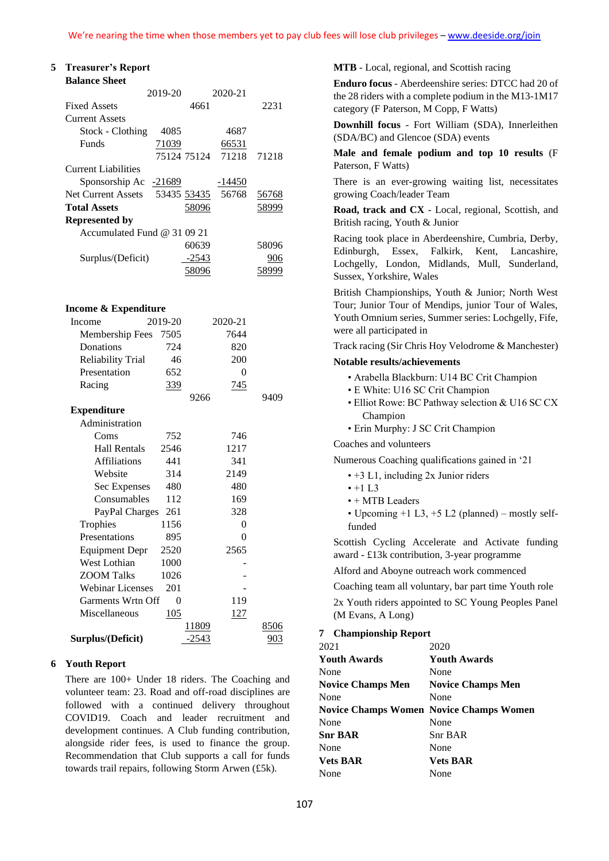#### **5 Treasurer's Report Balance Sheet**

|                               | 2019-20            |             | 2020-21 |       |
|-------------------------------|--------------------|-------------|---------|-------|
| <b>Fixed Assets</b>           |                    | 4661        |         | 2231  |
| <b>Current Assets</b>         |                    |             |         |       |
| Stock - Clothing              | 4085               |             | 4687    |       |
| <b>Funds</b>                  | 71039              |             | 66531   |       |
|                               |                    | 75124 75124 | 71218   | 71218 |
| <b>Current Liabilities</b>    |                    |             |         |       |
| Sponsorship Ac $-21689$       |                    |             | -14450  |       |
| <b>Net Current Assets</b>     | 53435 <u>53435</u> |             | 56768   | 56768 |
| <b>Total Assets</b>           |                    | 58096       |         | 58999 |
| <b>Represented by</b>         |                    |             |         |       |
| Accumulated Fund $@$ 31 09 21 |                    |             |         |       |
|                               |                    | 60639       |         | 58096 |
| Surplus/(Deficit)             |                    | -2543       |         | 906   |
|                               |                    | 58096       |         | 58999 |
|                               |                    |             |         |       |
|                               |                    |             |         |       |

#### **Income & Expenditure**

| Income                  | 2019-20  |       | 2020-21     |      |
|-------------------------|----------|-------|-------------|------|
| Membership Fees 7505    |          |       | 7644        |      |
| Donations               | 724      |       | 820         |      |
| Reliability Trial       | 46       |       | 200         |      |
| Presentation            | 652      |       | 0           |      |
| Racing                  | 339      |       | <u>745</u>  |      |
|                         |          | 9266  |             | 9409 |
| <b>Expenditure</b>      |          |       |             |      |
| Administration          |          |       |             |      |
| Coms                    | 752      |       | 746         |      |
| <b>Hall Rentals</b>     | 2546     |       | 1217        |      |
| <b>Affiliations</b>     | 441      |       | 341         |      |
| Website                 | 314      |       | 2149        |      |
| Sec Expenses            | 480      |       | 480         |      |
| Consumables             | 112      |       | 169         |      |
| PayPal Charges          | 261      |       | 328         |      |
| Trophies                | 1156     |       | $\theta$    |      |
| Presentations           | 895      |       | 0           |      |
| <b>Equipment Depr</b>   | 2520     |       | 2565        |      |
| West Lothian            | 1000     |       |             |      |
| <b>ZOOM Talks</b>       | 1026     |       |             |      |
| <b>Webinar Licenses</b> | 201      |       |             |      |
| Garments Wrtn Off       | $\theta$ |       | 119         |      |
| Miscellaneous           | 105      |       | <u> 127</u> |      |
|                         |          | 11809 |             | 8506 |
| Surplus/(Deficit)       |          | -2543 |             | 903  |

#### **6 Youth Report**

There are 100+ Under 18 riders. The Coaching and volunteer team: 23. Road and off-road disciplines are followed with a continued delivery throughout COVID19. Coach and leader recruitment and development continues. A Club funding contribution, alongside rider fees, is used to finance the group. Recommendation that Club supports a call for funds towards trail repairs, following Storm Arwen (£5k).

**MTB** - Local, regional, and Scottish racing

**Enduro focus** - Aberdeenshire series: DTCC had 20 of the 28 riders with a complete podium in the M13-1M17 category (F Paterson, M Copp, F Watts)

**Downhill focus** - Fort William (SDA), Innerleithen (SDA/BC) and Glencoe (SDA) events

**Male and female podium and top 10 results** (F Paterson, F Watts)

There is an ever-growing waiting list, necessitates growing Coach/leader Team

**Road, track and CX** - Local, regional, Scottish, and British racing, Youth & Junior

Racing took place in Aberdeenshire, Cumbria, Derby, Edinburgh, Essex, Falkirk, Kent, Lancashire, Lochgelly, London, Midlands, Mull, Sunderland, Sussex, Yorkshire, Wales

British Championships, Youth & Junior; North West Tour; Junior Tour of Mendips, junior Tour of Wales, Youth Omnium series, Summer series: Lochgelly, Fife, were all participated in

Track racing (Sir Chris Hoy Velodrome & Manchester)

#### **Notable results/achievements**

|  |                | · Arabella Blackburn: U14 BC Crit Champion |  |
|--|----------------|--------------------------------------------|--|
|  | $\blacksquare$ |                                            |  |

- E White: U16 SC Crit Champion
- Elliot Rowe: BC Pathway selection & U16 SC CX Champion

• Erin Murphy: J SC Crit Champion

#### Coaches and volunteers

Numerous Coaching qualifications gained in '21

• +3 L1, including 2x Junior riders

 $• + 1$  L<sub>3</sub>

- + MTB Leaders
- Upcoming  $+1$  L3,  $+5$  L2 (planned) mostly selffunded

Scottish Cycling Accelerate and Activate funding award - £13k contribution, 3-year programme

Alford and Aboyne outreach work commenced

Coaching team all voluntary, bar part time Youth role

2x Youth riders appointed to SC Young Peoples Panel (M Evans, A Long)

#### **7 Championship Report**

| 2021                     | 2020                                           |
|--------------------------|------------------------------------------------|
| <b>Youth Awards</b>      | <b>Youth Awards</b>                            |
| None                     | None                                           |
| <b>Novice Champs Men</b> | <b>Novice Champs Men</b>                       |
| None                     | None                                           |
|                          | <b>Novice Champs Women Novice Champs Women</b> |
| None                     | None                                           |
| Snr BAR                  | Snr BAR                                        |
| None                     | None                                           |
| <b>Vets BAR</b>          | <b>Vets BAR</b>                                |
| None                     | None                                           |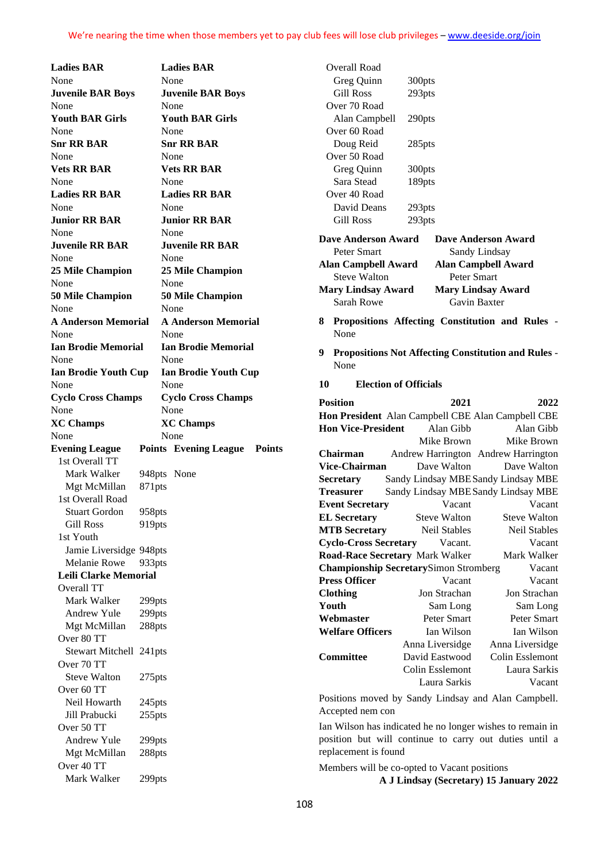| <b>Ladies BAR</b>            |                    | <b>Ladies BAR</b>  |                                     |  |
|------------------------------|--------------------|--------------------|-------------------------------------|--|
| None                         |                    | None               |                                     |  |
| <b>Juvenile BAR Boys</b>     |                    |                    | <b>Juvenile BAR Boys</b>            |  |
| None                         |                    | None               |                                     |  |
| <b>Youth BAR Girls</b>       |                    |                    | <b>Youth BAR Girls</b>              |  |
| None                         |                    | None               |                                     |  |
| <b>Snr RR BAR</b>            |                    | <b>Snr RR BAR</b>  |                                     |  |
| None                         |                    | None               |                                     |  |
| <b>Vets RR BAR</b>           |                    | <b>Vets RR BAR</b> |                                     |  |
| None                         |                    | None               |                                     |  |
| <b>Ladies RR BAR</b>         |                    |                    | <b>Ladies RR BAR</b>                |  |
| None                         |                    | None               |                                     |  |
| <b>Junior RR BAR</b>         |                    |                    | <b>Junior RR BAR</b>                |  |
| None                         |                    | None               |                                     |  |
| <b>Juvenile RR BAR</b>       |                    |                    | <b>Juvenile RR BAR</b>              |  |
| None                         |                    | None               |                                     |  |
| <b>25 Mile Champion</b>      |                    |                    | <b>25 Mile Champion</b>             |  |
| None                         |                    | None               |                                     |  |
| <b>50 Mile Champion</b>      |                    |                    | <b>50 Mile Champion</b>             |  |
| None                         |                    | None               |                                     |  |
| <b>A Anderson Memorial</b>   |                    |                    | <b>A Anderson Memorial</b>          |  |
| None                         |                    | None               |                                     |  |
| <b>Ian Brodie Memorial</b>   |                    |                    | <b>Ian Brodie Memorial</b>          |  |
| None                         |                    | None               |                                     |  |
|                              |                    |                    |                                     |  |
| Ian Brodie Youth Cup         |                    | None               | <b>Ian Brodie Youth Cup</b>         |  |
| None                         |                    |                    |                                     |  |
| <b>Cyclo Cross Champs</b>    |                    |                    | <b>Cyclo Cross Champs</b>           |  |
| None                         |                    | None               |                                     |  |
| <b>XC Champs</b>             |                    | <b>XC Champs</b>   |                                     |  |
| None                         |                    | None               |                                     |  |
| <b>Evening League</b>        |                    |                    | <b>Points Evening League Points</b> |  |
| 1st Overall TT               |                    |                    |                                     |  |
| Mark Walker                  |                    | 948pts None        |                                     |  |
| Mgt McMillan                 | 871pts             |                    |                                     |  |
| 1st Overall Road             |                    |                    |                                     |  |
| <b>Stuart Gordon</b>         | 958pts             |                    |                                     |  |
| <b>Gill Ross</b>             | 919pts             |                    |                                     |  |
| 1st Youth                    |                    |                    |                                     |  |
| Jamie Liversidge 948pts      |                    |                    |                                     |  |
| Melanie Rowe                 | 933 <sub>pts</sub> |                    |                                     |  |
| <b>Leili Clarke Memorial</b> |                    |                    |                                     |  |
| <b>Overall TT</b>            |                    |                    |                                     |  |
| Mark Walker                  | 299pts             |                    |                                     |  |
| <b>Andrew Yule</b>           | 299pts             |                    |                                     |  |
| Mgt McMillan                 | 288pts             |                    |                                     |  |
| Over 80 TT                   |                    |                    |                                     |  |
| <b>Stewart Mitchell</b>      | 241pts             |                    |                                     |  |
| Over 70 TT                   |                    |                    |                                     |  |
| <b>Steve Walton</b>          | 275pts             |                    |                                     |  |
| Over 60 TT                   |                    |                    |                                     |  |
| Neil Howarth                 | 245pts             |                    |                                     |  |
| Jill Prabucki                | 255pts             |                    |                                     |  |
| Over 50 TT                   |                    |                    |                                     |  |
| <b>Andrew Yule</b>           | 299pts             |                    |                                     |  |
| Mgt McMillan                 | 288pts             |                    |                                     |  |
| Over 40 TT                   |                    |                    |                                     |  |
| Mark Walker                  | 299pts             |                    |                                     |  |

|    | Overall Road                                               |                    |                        |                                     |                     |
|----|------------------------------------------------------------|--------------------|------------------------|-------------------------------------|---------------------|
|    | Greg Quinn                                                 | 300pts             |                        |                                     |                     |
|    | <b>Gill Ross</b>                                           | 293pts             |                        |                                     |                     |
|    | Over 70 Road                                               |                    |                        |                                     |                     |
|    | Alan Campbell                                              | 290pts             |                        |                                     |                     |
|    | Over 60 Road                                               |                    |                        |                                     |                     |
|    | Doug Reid                                                  | 285pts             |                        |                                     |                     |
|    | Over 50 Road                                               |                    |                        |                                     |                     |
|    | Greg Quinn                                                 | 300pts             |                        |                                     |                     |
|    | Sara Stead                                                 | 189pts             |                        |                                     |                     |
|    | Over 40 Road                                               |                    |                        |                                     |                     |
|    | David Deans                                                | 293 <sub>pts</sub> |                        |                                     |                     |
|    | <b>Gill Ross</b>                                           | 293pts             |                        |                                     |                     |
|    | <b>Dave Anderson Award</b>                                 |                    |                        | Dave Anderson Award                 |                     |
|    | Peter Smart                                                |                    |                        | Sandy Lindsay                       |                     |
|    | <b>Alan Campbell Award</b>                                 |                    |                        | <b>Alan Campbell Award</b>          |                     |
|    | <b>Steve Walton</b>                                        |                    | Peter Smart            |                                     |                     |
|    | <b>Mary Lindsay Award</b>                                  |                    |                        | <b>Mary Lindsay Award</b>           |                     |
|    | Sarah Rowe                                                 |                    |                        | <b>Gavin Baxter</b>                 |                     |
|    |                                                            |                    |                        |                                     |                     |
| 8. | Propositions Affecting Constitution and Rules<br>None      |                    |                        |                                     |                     |
| 9  | <b>Propositions Not Affecting Constitution and Rules -</b> |                    |                        |                                     |                     |
|    | None                                                       |                    |                        |                                     |                     |
|    |                                                            |                    |                        |                                     |                     |
| 10 | <b>Election of Officials</b>                               |                    |                        |                                     |                     |
|    |                                                            |                    |                        |                                     |                     |
|    | <b>Position</b>                                            |                    | 2021                   |                                     | 2022                |
|    | Hon President Alan Campbell CBE Alan Campbell CBE          |                    |                        |                                     |                     |
|    | <b>Hon Vice-President</b>                                  |                    | Alan Gibb              |                                     | Alan Gibb           |
|    |                                                            |                    | Mike Brown             |                                     | Mike Brown          |
|    | Chairman                                                   |                    |                        | Andrew Harrington Andrew Harrington |                     |
|    | Vice-Chairman                                              |                    | Dave Walton            |                                     | Dave Walton         |
|    | <b>Secretary</b>                                           |                    |                        | Sandy Lindsay MBESandy Lindsay MBE  |                     |
|    | <b>Treasurer</b>                                           |                    |                        | Sandy Lindsay MBE Sandy Lindsay MBE |                     |
|    | <b>Event Secretary</b>                                     |                    | Vacant                 |                                     | Vacant              |
|    | <b>EL Secretary</b>                                        |                    | <b>Steve Walton</b>    |                                     | <b>Steve Walton</b> |
|    | <b>MTB Secretary</b>                                       |                    | <b>Neil Stables</b>    |                                     | <b>Neil Stables</b> |
|    | <b>Cyclo-Cross Secretary</b>                               |                    | Vacant.                |                                     | Vacant              |
|    | Road-Race Secretary Mark Walker                            |                    |                        |                                     | Mark Walker         |
|    | <b>Championship SecretarySimon Stromberg</b>               |                    |                        |                                     | Vacant              |
|    | <b>Press Officer</b>                                       |                    | Vacant                 |                                     | Vacant              |
|    | <b>Clothing</b>                                            |                    | Jon Strachan           |                                     | Jon Strachan        |
|    | Youth                                                      |                    | Sam Long               |                                     | Sam Long            |
|    | Webmaster                                                  |                    | Peter Smart            |                                     | Peter Smart         |
|    | <b>Welfare Officers</b>                                    |                    | Ian Wilson             |                                     | Ian Wilson          |
|    |                                                            |                    | Anna Liversidge        |                                     | Anna Liversidge     |
|    | <b>Committee</b>                                           |                    | David Eastwood         |                                     | Colin Esslemont     |
|    |                                                            |                    | <b>Colin Esslemont</b> |                                     | Laura Sarkis        |
|    |                                                            |                    | Laura Sarkis           |                                     | Vacant              |
|    | Positions moved by Sandy Lindsay and Alan Campbell.        |                    |                        |                                     |                     |

Ian Wilson has indicated he no longer wishes to remain in position but will continue to carry out duties until a replacement is found

Members will be co-opted to Vacant positions

**A J Lindsay (Secretary) 15 January 2022**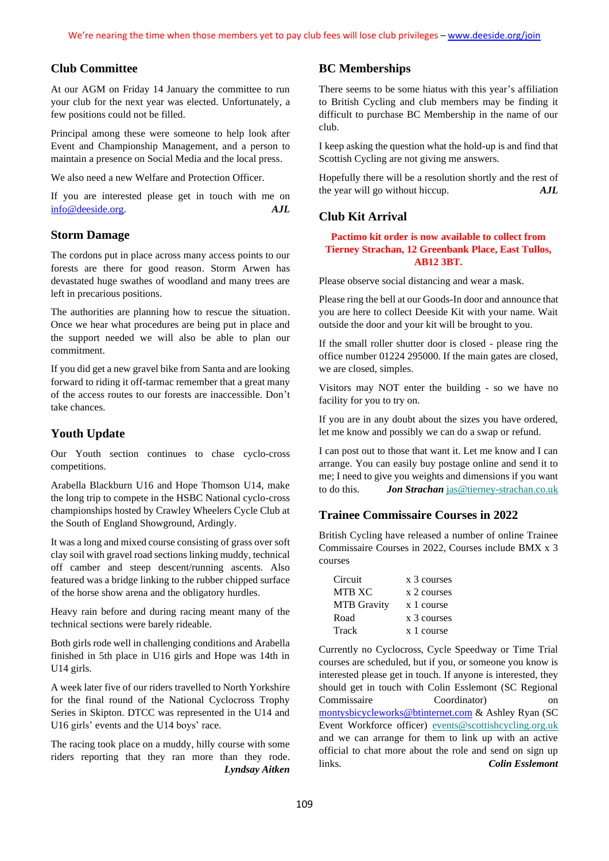#### **Club Committee**

At our AGM on Friday 14 January the committee to run your club for the next year was elected. Unfortunately, a few positions could not be filled.

Principal among these were someone to help look after Event and Championship Management, and a person to maintain a presence on Social Media and the local press.

We also need a new Welfare and Protection Officer.

If you are interested please get in touch with me on [info@deeside.org.](mailto:info@deeside.org) *AJL*

#### **Storm Damage**

The cordons put in place across many access points to our forests are there for good reason. Storm Arwen has devastated huge swathes of woodland and many trees are left in precarious positions.

The authorities are planning how to rescue the situation. Once we hear what procedures are being put in place and the support needed we will also be able to plan our commitment.

If you did get a new gravel bike from Santa and are looking forward to riding it off-tarmac remember that a great many of the access routes to our forests are inaccessible. Don't take chances.

# **Youth Update**

Our Youth section continues to chase cyclo-cross competitions.

Arabella Blackburn U16 and Hope Thomson U14, make the long trip to compete in the HSBC National cyclo-cross championships hosted by Crawley Wheelers Cycle Club at the South of England Showground, Ardingly.

It was a long and mixed course consisting of grass over soft clay soil with gravel road sections linking muddy, technical off camber and steep descent/running ascents. Also featured was a bridge linking to the rubber chipped surface of the horse show arena and the obligatory hurdles.

Heavy rain before and during racing meant many of the technical sections were barely rideable.

Both girls rode well in challenging conditions and Arabella finished in 5th place in U16 girls and Hope was 14th in U14 girls.

A week later five of our riders travelled to North Yorkshire for the final round of the National Cyclocross Trophy Series in Skipton. DTCC was represented in the U14 and U16 girls' events and the U14 boys' race.

The racing took place on a muddy, hilly course with some riders reporting that they ran more than they rode. *Lyndsay Aitken*

## **BC Memberships**

There seems to be some hiatus with this year's affiliation to British Cycling and club members may be finding it difficult to purchase BC Membership in the name of our club.

I keep asking the question what the hold-up is and find that Scottish Cycling are not giving me answers.

Hopefully there will be a resolution shortly and the rest of the year will go without hiccup. *AJL*

#### **Club Kit Arrival**

#### **Pactimo kit order is now available to collect from Tierney Strachan, 12 Greenbank Place, East Tullos, AB12 3BT.**

Please observe social distancing and wear a mask.

Please ring the bell at our Goods-In door and announce that you are here to collect Deeside Kit with your name. Wait outside the door and your kit will be brought to you.

If the small roller shutter door is closed - please ring the office number 01224 295000. If the main gates are closed, we are closed, simples.

Visitors may NOT enter the building - so we have no facility for you to try on.

If you are in any doubt about the sizes you have ordered, let me know and possibly we can do a swap or refund.

I can post out to those that want it. Let me know and I can arrange. You can easily buy postage online and send it to me; I need to give you weights and dimensions if you want to do this. *Jon Strachan* [jas@tierney-strachan.co.uk](mailto:jas@tierney-strachan.co.uk)

## **Trainee Commissaire Courses in 2022**

British Cycling have released a number of online Trainee Commissaire Courses in 2022, Courses include BMX x 3 courses

| Circuit            | x 3 courses |
|--------------------|-------------|
| <b>MTB XC</b>      | x 2 courses |
| <b>MTB</b> Gravity | x 1 course  |
| Road               | x 3 courses |
| Track              | x 1 course  |

Currently no Cyclocross, Cycle Speedway or Time Trial courses are scheduled, but if you, or someone you know is interested please get in touch. If anyone is interested, they should get in touch with Colin Esslemont (SC Regional Commissaire Coordinator) [montysbicycleworks@btinternet.com](mailto:montysbicycleworks@btinternet.com) & Ashley Ryan (SC Event Workforce officer) [events@scottishcycling.org.uk](mailto:events@scottishcycling.org.uk) and we can arrange for them to link up with an active official to chat more about the role and send on sign up links. *Colin Esslemont*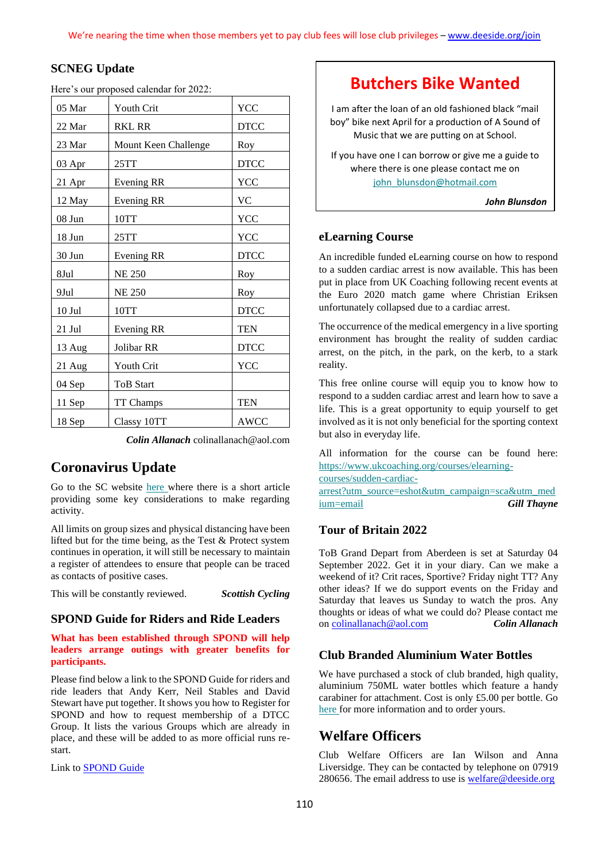#### **SCNEG Update**

Here's our proposed calendar for 2022:

| 05 Mar   | <b>Youth Crit</b>    | <b>YCC</b>  |
|----------|----------------------|-------------|
| 22 Mar   | RKL RR               | <b>DTCC</b> |
| 23 Mar   | Mount Keen Challenge | Roy         |
| 03 Apr   | 25TT                 | <b>DTCC</b> |
| 21 Apr   | Evening RR           | <b>YCC</b>  |
| 12 May   | <b>Evening RR</b>    | <b>VC</b>   |
| 08 Jun   | 10TT                 | <b>YCC</b>  |
| 18 Jun   | 25TT                 | <b>YCC</b>  |
| 30 Jun   | Evening RR           | <b>DTCC</b> |
| 8Jul     | <b>NE 250</b>        | Roy         |
| 9Jul     | <b>NE 250</b>        | Roy         |
| $10$ Jul | 10TT                 | <b>DTCC</b> |
| $21$ Jul | Evening RR           | <b>TEN</b>  |
| 13 Aug   | Jolibar RR           | <b>DTCC</b> |
| $21$ Aug | <b>Youth Crit</b>    | <b>YCC</b>  |
| 04 Sep   | <b>ToB Start</b>     |             |
| 11 Sep   | <b>TT Champs</b>     | <b>TEN</b>  |
| 18 Sep   | Classy 10TT          | <b>AWCC</b> |

*Colin Allanach* colinallanach@aol.com

# **Coronavirus Update**

Go to the SC website [here w](https://deeside.us17.list-manage.com/track/click?u=f62ca54113e71afcd2424d190&id=bb0d56ffcb&e=2b1bf714f3)here there is a short article providing some key considerations to make regarding activity.

All limits on group sizes and physical distancing have been lifted but for the time being, as the Test & Protect system continues in operation, it will still be necessary to maintain a register of attendees to ensure that people can be traced as contacts of positive cases.

This will be constantly reviewed. *Scottish Cycling*

#### **SPOND Guide for Riders and Ride Leaders**

#### **What has been established through SPOND will help leaders arrange outings with greater benefits for participants.**

Please find below a link to the SPOND Guide for riders and ride leaders that Andy Kerr, Neil Stables and David Stewart have put together. It shows you how to Register for SPOND and how to request membership of a DTCC Group. It lists the various Groups which are already in place, and these will be added to as more official runs restart.

Link to [SPOND Guide](https://deeside.us17.list-manage.com/track/click?u=f62ca54113e71afcd2424d190&id=16f9fba241&e=2b1bf714f3)

# **Butchers Bike Wanted**

I am after the loan of an old fashioned black "mail boy" bike next April for a production of A Sound of Music that we are putting on at School.

If you have one I can borrow or give me a guide to where there is one please contact me on [john\\_blunsdon@hotmail.com](mailto:john_blunsdon@hotmail.com)

*John Blunsdon*

#### **eLearning Course**

An incredible funded eLearning course on how to respond to a sudden cardiac arrest is now available. This has been put in place from UK Coaching following recent events at the Euro 2020 match game where Christian Eriksen unfortunately collapsed due to a cardiac arrest.

The occurrence of the medical emergency in a live sporting environment has brought the reality of sudden cardiac arrest, on the pitch, in the park, on the kerb, to a stark reality.

This free online course will equip you to know how to respond to a sudden cardiac arrest and learn how to save a life. This is a great opportunity to equip yourself to get involved as it is not only beneficial for the sporting context but also in everyday life.

All information for the course can be found here: [https://www.ukcoaching.org/courses/elearning](https://deeside.us17.list-manage.com/track/click?u=f62ca54113e71afcd2424d190&id=53426dfda2&e=6efa8545d3)[courses/sudden-cardiac-](https://deeside.us17.list-manage.com/track/click?u=f62ca54113e71afcd2424d190&id=53426dfda2&e=6efa8545d3)

[arrest?utm\\_source=eshot&utm\\_campaign=sca&utm\\_med](https://deeside.us17.list-manage.com/track/click?u=f62ca54113e71afcd2424d190&id=53426dfda2&e=6efa8545d3) [ium=email](https://deeside.us17.list-manage.com/track/click?u=f62ca54113e71afcd2424d190&id=53426dfda2&e=6efa8545d3) *Gill Thayne*

#### **Tour of Britain 2022**

ToB Grand Depart from Aberdeen is set at Saturday 04 September 2022. Get it in your diary. Can we make a weekend of it? Crit races, Sportive? Friday night TT? Any other ideas? If we do support events on the Friday and Saturday that leaves us Sunday to watch the pros. Any thoughts or ideas of what we could do? Please contact me on [colinallanach@aol.com](mailto:colinallanach@aol.com) *Colin Allanach*

#### **Club Branded Aluminium Water Bottles**

We have purchased a stock of club branded, high quality, aluminium 750ML water bottles which feature a handy carabiner for attachment. Cost is only £5.00 per bottle. Go [here](https://deeside.us17.list-manage.com/track/click?u=f62ca54113e71afcd2424d190&id=382184ea7d&e=6efa8545d3) for more information and to order yours.

# **Welfare Officers**

Club Welfare Officers are Ian Wilson and Anna Liversidge. They can be contacted by telephone on 07919 280656. The email address to use is [welfare@deeside.org](mailto:welfare@deeside.org)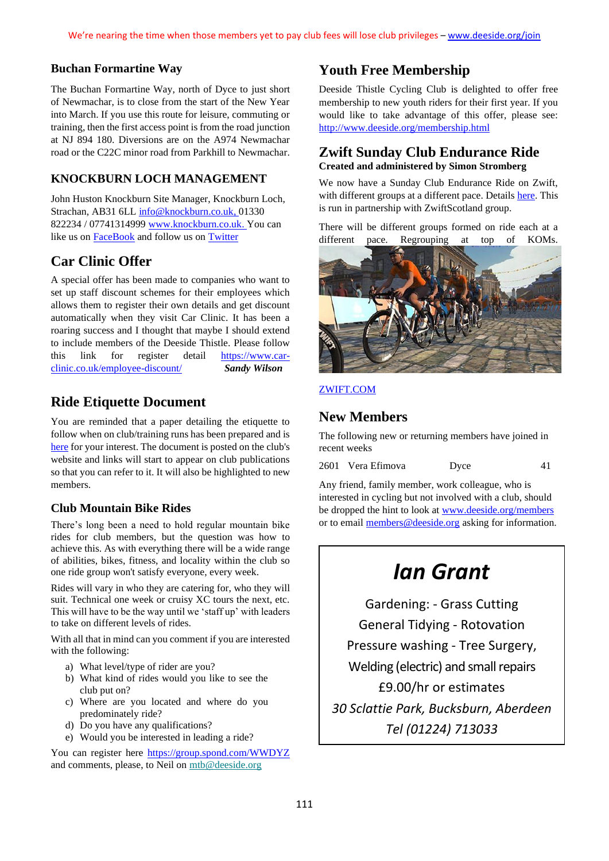#### **Buchan Formartine Way**

The Buchan Formartine Way, north of Dyce to just short of Newmachar, is to close from the start of the New Year into March. If you use this route for leisure, commuting or training, then the first access point is from the road junction at NJ 894 180. Diversions are on the A974 Newmachar road or the C22C minor road from Parkhill to Newmachar.

# **KNOCKBURN LOCH MANAGEMENT**

John Huston Knockburn Site Manager, Knockburn Loch, Strachan, AB31 6LL [info@knockburn.co.uk,](mailto:info@knockburn.co.uk) 01330 822234 / 07741314999 [www.knockburn.co.uk.](http://www.knockburn.co.uk/) You can like us on [FaceBook](https://www.facebook.com/Knockburn-Sports-Loch-176413375755435/) and follow us o[n Twitter](https://twitter.com/knockburnloch)

# **Car Clinic Offer**

A special offer has been made to companies who want to set up staff discount schemes for their employees which allows them to register their own details and get discount automatically when they visit Car Clinic. It has been a roaring success and I thought that maybe I should extend to include members of the Deeside Thistle. Please follow this link for register detail [https://www.car](https://www.car-clinic.co.uk/employee-discount/)[clinic.co.uk/employee-discount/](https://www.car-clinic.co.uk/employee-discount/) *Sandy Wilson*

# **Ride Etiquette Document**

You are reminded that a paper detailing the etiquette to follow when on club/training runs has been prepared and is [here](http://deeside.org/knockies/DTCC%20Group%20Riding%20Etiquette%20Guidance.pdf) for your interest. The document is posted on the club's website and links will start to appear on club publications so that you can refer to it. It will also be highlighted to new members.

# **Club Mountain Bike Rides**

There's long been a need to hold regular mountain bike rides for club members, but the question was how to achieve this. As with everything there will be a wide range of abilities, bikes, fitness, and locality within the club so one ride group won't satisfy everyone, every week.

Rides will vary in who they are catering for, who they will suit. Technical one week or cruisy XC tours the next, etc. This will have to be the way until we 'staff up' with leaders to take on different levels of rides.

With all that in mind can you comment if you are interested with the following:

- a) What level/type of rider are you?
- b) What kind of rides would you like to see the club put on?
- c) Where are you located and where do you predominately ride?
- d) Do you have any qualifications?
- e) Would you be interested in leading a ride?

You can register here <https://group.spond.com/WWDYZ> and comments, please, to Neil on [mtb@deeside.org](mailto:mtb@deeside.org)

# **Youth Free Membership**

Deeside Thistle Cycling Club is delighted to offer free membership to new youth riders for their first year. If you would like to take advantage of this offer, please see: <http://www.deeside.org/membership.html>

## **Zwift Sunday Club Endurance Ride Created and administered by Simon Stromberg**

We now have a Sunday Club Endurance Ride on Zwift, with different groups at a different pace. Details [here.](https://www.zwift.com/events/view/1491255?fbclid=IwAR3TgPkvll_VVjWc31kBFfLNemcoqeVC1T65cx20eBSjMuI8JkFbWmKFObU&__znl=en-gb) This is run in partnership with ZwiftScotland group.

There will be different groups formed on ride each at a different pace. Regrouping at top of KOMs.



#### [ZWIFT.COM](https://www.zwift.com/events/view/1491255?fbclid=IwAR3TgPkvll_VVjWc31kBFfLNemcoqeVC1T65cx20eBSjMuI8JkFbWmKFObU&__znl=en-gb)

# **New Members**

The following new or returning members have joined in recent weeks

2601 Vera Efimova Dyce 41

Any friend, family member, work colleague, who is interested in cycling but not involved with a club, should be dropped the hint to look at [www.deeside.org/](http://www.deeside.org/)members or to emai[l members@deeside.org](mailto:members@deeside.org) asking for information.

# *Ian Grant*

Gardening: - Grass Cutting General Tidying - Rotovation Pressure washing - Tree Surgery, Welding (electric) and small repairs £9.00/hr or estimates *30 Sclattie Park, Bucksburn, Aberdeen Tel (01224) 713033*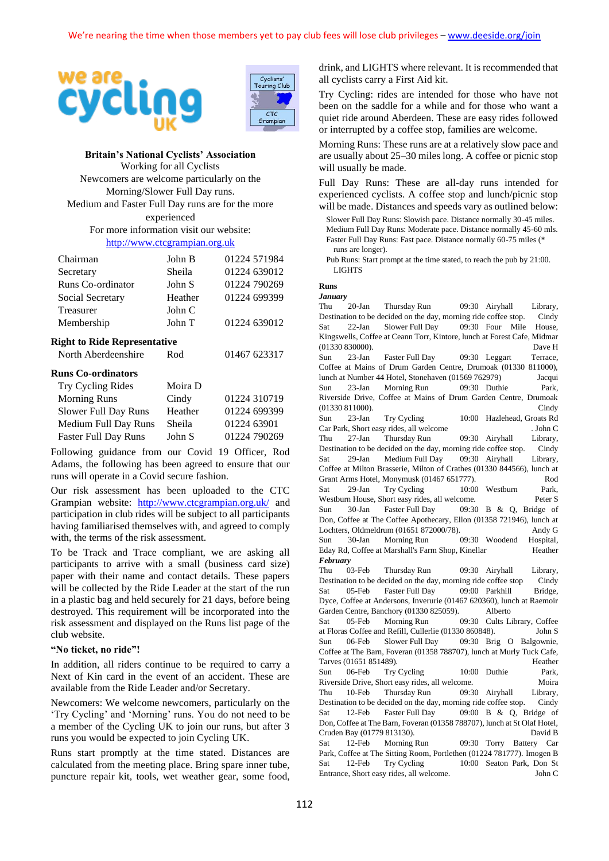



#### **Britain's National Cyclists' Association** Working for all Cyclists Newcomers are welcome particularly on the

Morning/Slower Full Day runs. Medium and Faster Full Day runs are for the more experienced For more information visit our website: [http://www.ctcgrampian.org.uk](http://www.ctcgrampian.org.uk/)

| Chairman                            | John B   | 01224 571984 |
|-------------------------------------|----------|--------------|
| Secretary                           | Sheila   | 01224 639012 |
| Runs Co-ordinator                   | John S   | 01224 790269 |
| Social Secretary                    | Heather  | 01224 699399 |
| Treasurer                           | John $C$ |              |
| Membership                          | John T   | 01224 639012 |
| <b>Right to Ride Representative</b> |          |              |
| North Aberdeenshire                 | Rod      | 01467 623317 |
| Runs Co-ordinators                  |          |              |
| Try Cycling Rides                   | Moira D  |              |
| <b>Morning Runs</b>                 | Cindy    | 01224 310719 |
| Slower Full Day Runs                | Heather  | 01224 699399 |
| Medium Full Day Runs                | Sheila   | 01224 63901  |
| <b>Faster Full Day Runs</b>         | John S   | 01224 790269 |

Following guidance from our Covid 19 Officer, Rod Adams, the following has been agreed to ensure that our runs will operate in a Covid secure fashion.

Our risk assessment has been uploaded to the CTC Grampian website: <http://www.ctcgrampian.org.uk/> and participation in club rides will be subject to all participants having familiarised themselves with, and agreed to comply with, the terms of the risk assessment.

To be Track and Trace compliant, we are asking all participants to arrive with a small (business card size) paper with their name and contact details. These papers will be collected by the Ride Leader at the start of the run in a plastic bag and held securely for 21 days, before being destroyed. This requirement will be incorporated into the risk assessment and displayed on the Runs list page of the club website.

#### **"No ticket, no ride"!**

In addition, all riders continue to be required to carry a Next of Kin card in the event of an accident. These are available from the Ride Leader and/or Secretary.

Newcomers: We welcome newcomers, particularly on the 'Try Cycling' and 'Morning' runs. You do not need to be a member of the Cycling UK to join our runs, but after 3 runs you would be expected to join Cycling UK.

Runs start promptly at the time stated. Distances are calculated from the meeting place. Bring spare inner tube, puncture repair kit, tools, wet weather gear, some food, drink, and LIGHTS where relevant. It is recommended that all cyclists carry a First Aid kit.

Try Cycling: rides are intended for those who have not been on the saddle for a while and for those who want a quiet ride around Aberdeen. These are easy rides followed or interrupted by a coffee stop, families are welcome.

Morning Runs: These runs are at a relatively slow pace and are usually about 25–30 miles long. A coffee or picnic stop will usually be made.

Full Day Runs: These are all-day runs intended for experienced cyclists. A coffee stop and lunch/picnic stop will be made. Distances and speeds vary as outlined below:

Slower Full Day Runs: Slowish pace. Distance normally 30-45 miles. Medium Full Day Runs: Moderate pace. Distance normally 45-60 mls. Faster Full Day Runs: Fast pace. Distance normally 60-75 miles (\* runs are longer).

Pub Runs: Start prompt at the time stated, to reach the pub by 21:00. LIGHTS

#### **Runs**

*January*

Thu 20-Jan Thursday Run 09:30 Airyhall Library, Destination to be decided on the day, morning ride coffee stop. Cindy Sat 22-Jan Slower Full Day 09:30 Four Mile House, Kingswells, Coffee at Ceann Torr, Kintore, lunch at Forest Cafe, Midmar (01330 830000). Dave H Sun 23-Jan Faster Full Day 09:30 Leggart Terrace, Coffee at Mains of Drum Garden Centre, Drumoak (01330 811000), lunch at Number 44 Hotel, Stonehaven (01569 762979) Jacqui Sun 23-Jan Morning Run 09:30 Duthie Park, Riverside Drive, Coffee at Mains of Drum Garden Centre, Drumoak (01330 811000). Cindy Sun 23-Jan Try Cycling 10:00 Hazlehead, Groats Rd Car Park, Short easy rides, all welcome . John C Thu 27-Jan Thursday Run 09:30 Airyhall Library, Destination to be decided on the day, morning ride coffee stop. Cindy Sat 29-Jan Medium Full Day 09:30 Airyhall Library, Coffee at Milton Brasserie, Milton of Crathes (01330 844566), lunch at Grant Arms Hotel, Monymusk (01467 651777). Sat 29-Jan Try Cycling 10:00 Westburn Park, Westburn House, Short easy rides, all welcome. Peter S Sun 30-Jan Faster Full Day 09:30 B & Q, Bridge of Don, Coffee at The Coffee Apothecary, Ellon (01358 721946), lunch at Lochters, Oldmeldrum (01651 872000/78). Andy G Sun 30-Jan Morning Run 09:30 Woodend Hospital, Eday Rd, Coffee at Marshall's Farm Shop, Kinellar Heather *February* Thu 03-Feb Thursday Run 09:30 Airyhall Library, Destination to be decided on the day, morning ride coffee stop Cindy Sat 05-Feb Faster Full Day 09:00 Parkhill Bridge, Dyce, Coffee at Andersons, Inverurie (01467 620360), lunch at Raemoir Garden Centre, Banchory (01330 825059). Alberto Sat 05-Feb Morning Run 09:30 Cults Library, Coffee at Floras Coffee and Refill, Cullerlie (01330 860848). John S Sun 06-Feb Slower Full Day 09:30 Brig O Balgownie, Coffee at The Barn, Foveran (01358 788707), lunch at Murly Tuck Cafe, Tarves (01651 851489). Heather Sun 06-Feb Try Cycling 10:00 Duthie Park, Riverside Drive, Short easy rides, all welcome. Moira Thu 10-Feb Thursday Run 09:30 Airyhall Library, Destination to be decided on the day, morning ride coffee stop. Cindy Sat 12-Feb Faster Full Day 09:00 B & Q, Bridge of Don, Coffee at The Barn, Foveran (01358 788707), lunch at St Olaf Hotel, Cruden Bay (01779 813130). David B Sat 12-Feb Morning Run 09:30 Torry Battery Car Park, Coffee at The Sitting Room, Portlethen (01224 781777). Imogen B Sat 12-Feb Try Cycling 10:00 Seaton Park, Don St Entrance, Short easy rides, all welcome. John C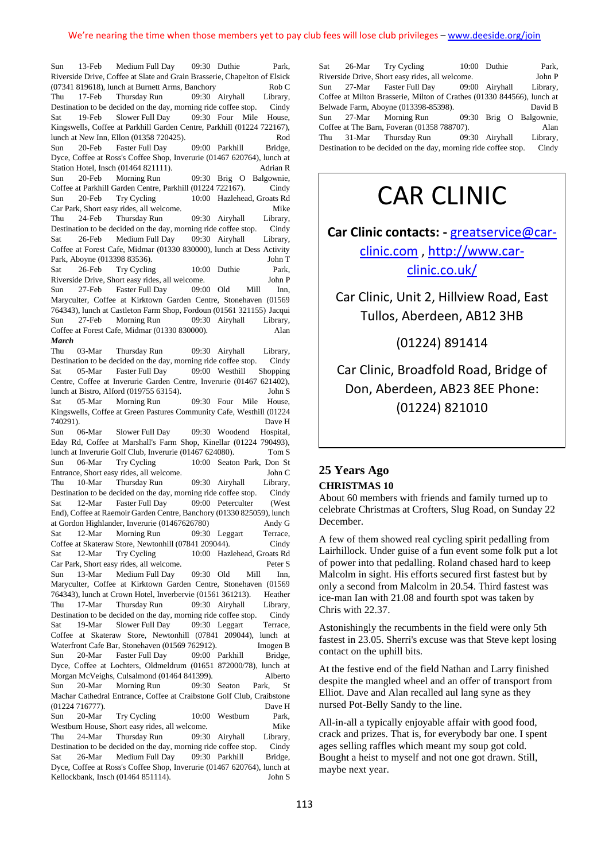Sun 13-Feb Medium Full Day 09:30 Duthie Park, Riverside Drive, Coffee at Slate and Grain Brasserie, Chapelton of Elsick (07341 819618), lunch at Burnett Arms, Banchory Rob C Thu 17-Feb Thursday Run 09:30 Airyhall Library, Destination to be decided on the day, morning ride coffee stop. Cindy Sat 19-Feb Slower Full Day 09:30 Four Mile House, Kingswells, Coffee at Parkhill Garden Centre, Parkhill (01224 722167), lunch at New Inn, Ellon (01358 720425). Rod Sun 20-Feb Faster Full Day 09:00 Parkhill Bridge, Dyce, Coffee at Ross's Coffee Shop, Inverurie (01467 620764), lunch at Station Hotel, Insch (01464 821111). Adrian R Sun 20-Feb Morning Run 09:30 Brig O Balgownie, Coffee at Parkhill Garden Centre, Parkhill (01224 722167). Cindy Sun 20-Feb Try Cycling 10:00 Hazlehead, Groats Rd Car Park, Short easy rides, all welcome. Mike Thu 24-Feb Thursday Run 09:30 Airyhall Library, Destination to be decided on the day, morning ride coffee stop. Cindy Sat 26-Feb Medium Full Day 09:30 Airyhall Library, Coffee at Forest Cafe, Midmar (01330 830000), lunch at Dess Activity Park, Aboyne (013398 83536). John T Sat 26-Feb Try Cycling 10:00 Duthie Park, Riverside Drive, Short easy rides, all welcome. John P Sun 27-Feb Faster Full Day 09:00 Old Mill Inn, Maryculter, Coffee at Kirktown Garden Centre, Stonehaven (01569 764343), lunch at Castleton Farm Shop, Fordoun (01561 321155) Jacqui Sun 27-Feb Morning Run 09:30 Airyhall Library, Coffee at Forest Cafe, Midmar (01330 830000). Alan *March* Thu 03-Mar Thursday Run 09:30 Airyhall Library, Destination to be decided on the day, morning ride coffee stop. Cindy Sat 05-Mar Faster Full Day 09:00 Westhill Shopping Centre, Coffee at Inverurie Garden Centre, Inverurie (01467 621402), lunch at Bistro, Alford (019755 63154). John S Sat 05-Mar Morning Run 09:30 Four Mile House, Kingswells, Coffee at Green Pastures Community Cafe, Westhill (01224 740291). Dave H Sun 06-Mar Slower Full Day 09:30 Woodend Hospital, Eday Rd, Coffee at Marshall's Farm Shop, Kinellar (01224 790493), lunch at Inverurie Golf Club, Inverurie (01467 624080). Tom S Sun 06-Mar Try Cycling 10:00 Seaton Park, Don St Entrance, Short easy rides, all welcome. John C Thu 10-Mar Thursday Run 09:30 Airyhall Library, Destination to be decided on the day, morning ride coffee stop. Cindy Sat 12-Mar Faster Full Day 09:00 Peterculter (West End), Coffee at Raemoir Garden Centre, Banchory (01330 825059), lunch at Gordon Highlander, Inverurie (01467626780) Andy G Sat 12-Mar Morning Run 09:30 Leggart Terrace, Coffee at Skateraw Store, Newtonhill (07841 209044). Cindy Sat 12-Mar Try Cycling 10:00 Hazlehead, Groats Rd Car Park, Short easy rides, all welcome. Peter S Sun 13-Mar Medium Full Day 09:30 Old Mill Inn, Maryculter, Coffee at Kirktown Garden Centre, Stonehaven (01569 764343), lunch at Crown Hotel, Inverbervie (01561 361213). Heather Thu 17-Mar Thursday Run 09:30 Airyhall Library, Destination to be decided on the day, morning ride coffee stop. Cindy Sat 19-Mar Slower Full Day 09:30 Leggart Terrace, Coffee at Skateraw Store, Newtonhill (07841 209044), lunch at Waterfront Cafe Bar, Stonehaven (01569 762912). Imogen B Sun 20-Mar Faster Full Day 09:00 Parkhill Bridge, Dyce, Coffee at Lochters, Oldmeldrum (01651 872000/78), lunch at Morgan McVeighs, Culsalmond (01464 841399). Alberto Sun 20-Mar Morning Run 09:30 Seaton Park, St Machar Cathedral Entrance, Coffee at Craibstone Golf Club, Craibstone (01224 716777). Dave H Sun 20-Mar Try Cycling 10:00 Westburn Park, Westburn House, Short easy rides, all welcome. Mike Thu 24-Mar Thursday Run 09:30 Airyhall Library, Destination to be decided on the day, morning ride coffee stop. Cindy Sat 26-Mar Medium Full Day 09:30 Parkhill Bridge, Dyce, Coffee at Ross's Coffee Shop, Inverurie (01467 620764), lunch at Kellockbank, Insch (01464 851114). John S Sat 26-Mar Try Cycling 10:00 Duthie Park, Riverside Drive, Short easy rides, all welcome. John P Sun 27-Mar Faster Full Day 09:00 Airyhall Library, Coffee at Milton Brasserie, Milton of Crathes (01330 844566), lunch at Belwade Farm, Aboyne (013398-85398). David B Sun 27-Mar Morning Run 09:30 Brig O Balgownie, Coffee at The Barn, Foveran (01358 788707). Alan Thu 31-Mar Thursday Run 09:30 Airyhall Library, Destination to be decided on the day, morning ride coffee stop. Cindy

# CAR CLINIC

**Car Clinic contacts: -** [greatservice@car-](mailto:greatservice@car-clinic.com)

[clinic.com](mailto:greatservice@car-clinic.com) , [http://www.car](http://www.car-clinic.co.uk/)[clinic.co.uk/](http://www.car-clinic.co.uk/)

Car Clinic, Unit 2, Hillview Road, East Tullos, Aberdeen, AB12 3HB

(01224) 891414

Car Clinic, Broadfold Road, Bridge of Don, Aberdeen, AB23 8EE Phone: (01224) 821010

#### **25 Years Ago CHRISTMAS 10**

About 60 members with friends and family turned up to celebrate Christmas at Crofters, Slug Road, on Sunday 22 December.

A few of them showed real cycling spirit pedalling from Lairhillock. Under guise of a fun event some folk put a lot of power into that pedalling. Roland chased hard to keep Malcolm in sight. His efforts secured first fastest but by only a second from Malcolm in 20.54. Third fastest was ice-man Ian with 21.08 and fourth spot was taken by Chris with 22.37.

Astonishingly the recumbents in the field were only 5th fastest in 23.05. Sherri's excuse was that Steve kept losing contact on the uphill bits.

At the festive end of the field Nathan and Larry finished despite the mangled wheel and an offer of transport from Elliot. Dave and Alan recalled aul lang syne as they nursed Pot-Belly Sandy to the line.

All-in-all a typically enjoyable affair with good food, crack and prizes. That is, for everybody bar one. I spent ages selling raffles which meant my soup got cold. Bought a heist to myself and not one got drawn. Still, maybe next year.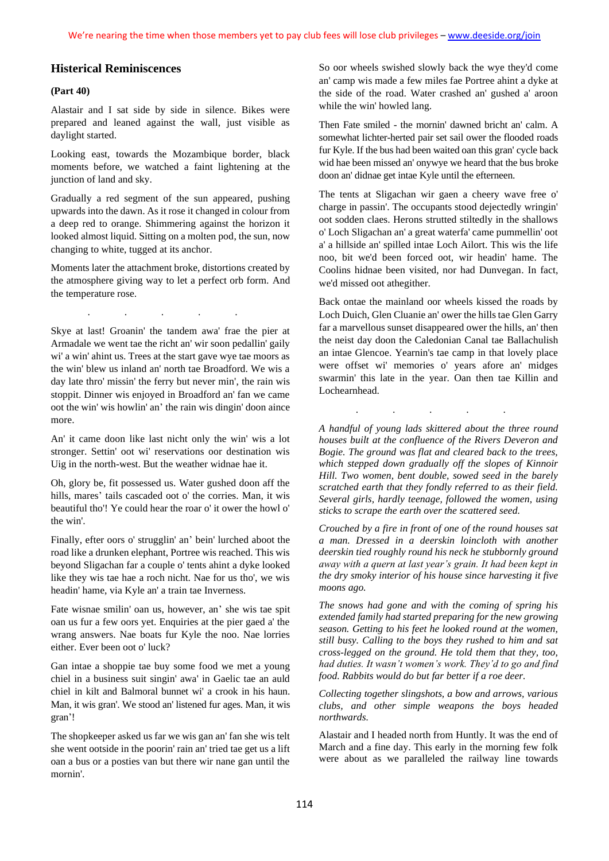#### **Histerical Reminiscences**

#### **(Part 40)**

Alastair and I sat side by side in silence. Bikes were prepared and leaned against the wall, just visible as daylight started.

Looking east, towards the Mozambique border, black moments before, we watched a faint lightening at the junction of land and sky.

Gradually a red segment of the sun appeared, pushing upwards into the dawn. As it rose it changed in colour from a deep red to orange. Shimmering against the horizon it looked almost liquid. Sitting on a molten pod, the sun, now changing to white, tugged at its anchor.

Moments later the attachment broke, distortions created by the atmosphere giving way to let a perfect orb form. And the temperature rose.

. . . . .

Skye at last! Groanin' the tandem awa' frae the pier at Armadale we went tae the richt an' wir soon pedallin' gaily wi' a win' ahint us. Trees at the start gave wye tae moors as the win' blew us inland an' north tae Broadford. We wis a day late thro' missin' the ferry but never min', the rain wis stoppit. Dinner wis enjoyed in Broadford an' fan we came oot the win' wis howlin' an' the rain wis dingin' doon aince more.

An' it came doon like last nicht only the win' wis a lot stronger. Settin' oot wi' reservations oor destination wis Uig in the north-west. But the weather widnae hae it.

Oh, glory be, fit possessed us. Water gushed doon aff the hills, mares' tails cascaded oot o' the corries. Man, it wis beautiful tho'! Ye could hear the roar o' it ower the howl o' the win'.

Finally, efter oors o' strugglin' an' bein' lurched aboot the road like a drunken elephant, Portree wis reached. This wis beyond Sligachan far a couple o' tents ahint a dyke looked like they wis tae hae a roch nicht. Nae for us tho', we wis headin' hame, via Kyle an' a train tae Inverness.

Fate wisnae smilin' oan us, however, an' she wis tae spit oan us fur a few oors yet. Enquiries at the pier gaed a' the wrang answers. Nae boats fur Kyle the noo. Nae lorries either. Ever been oot o' luck?

Gan intae a shoppie tae buy some food we met a young chiel in a business suit singin' awa' in Gaelic tae an auld chiel in kilt and Balmoral bunnet wi' a crook in his haun. Man, it wis gran'. We stood an' listened fur ages. Man, it wis gran'!

The shopkeeper asked us far we wis gan an' fan she wis telt she went ootside in the poorin' rain an' tried tae get us a lift oan a bus or a posties van but there wir nane gan until the mornin'.

So oor wheels swished slowly back the wye they'd come an' camp wis made a few miles fae Portree ahint a dyke at the side of the road. Water crashed an' gushed a' aroon while the win' howled lang.

Then Fate smiled - the mornin' dawned bricht an' calm. A somewhat lichter-herted pair set sail ower the flooded roads fur Kyle. If the bus had been waited oan this gran' cycle back wid hae been missed an' onywye we heard that the bus broke doon an' didnae get intae Kyle until the efterneen.

The tents at Sligachan wir gaen a cheery wave free o' charge in passin'. The occupants stood dejectedly wringin' oot sodden claes. Herons strutted stiltedly in the shallows o' Loch Sligachan an' a great waterfa' came pummellin' oot a' a hillside an' spilled intae Loch Ailort. This wis the life noo, bit we'd been forced oot, wir headin' hame. The Coolins hidnae been visited, nor had Dunvegan. In fact, we'd missed oot athegither.

Back ontae the mainland oor wheels kissed the roads by Loch Duich, Glen Cluanie an' ower the hills tae Glen Garry far a marvellous sunset disappeared ower the hills, an' then the neist day doon the Caledonian Canal tae Ballachulish an intae Glencoe. Yearnin's tae camp in that lovely place were offset wi' memories o' years afore an' midges swarmin' this late in the year. Oan then tae Killin and Lochearnhead.

. . . . .

*A handful of young lads skittered about the three round houses built at the confluence of the Rivers Deveron and Bogie. The ground was flat and cleared back to the trees, which stepped down gradually off the slopes of Kinnoir Hill. Two women, bent double, sowed seed in the barely scratched earth that they fondly referred to as their field. Several girls, hardly teenage, followed the women, using sticks to scrape the earth over the scattered seed.* 

*Crouched by a fire in front of one of the round houses sat a man. Dressed in a deerskin loincloth with another deerskin tied roughly round his neck he stubbornly ground away with a quern at last year's grain. It had been kept in the dry smoky interior of his house since harvesting it five moons ago.*

*The snows had gone and with the coming of spring his extended family had started preparing for the new growing season. Getting to his feet he looked round at the women, still busy. Calling to the boys they rushed to him and sat cross-legged on the ground. He told them that they, too, had duties. It wasn't women's work. They'd to go and find food. Rabbits would do but far better if a roe deer.*

*Collecting together slingshots, a bow and arrows, various clubs, and other simple weapons the boys headed northwards.*

Alastair and I headed north from Huntly. It was the end of March and a fine day. This early in the morning few folk were about as we paralleled the railway line towards